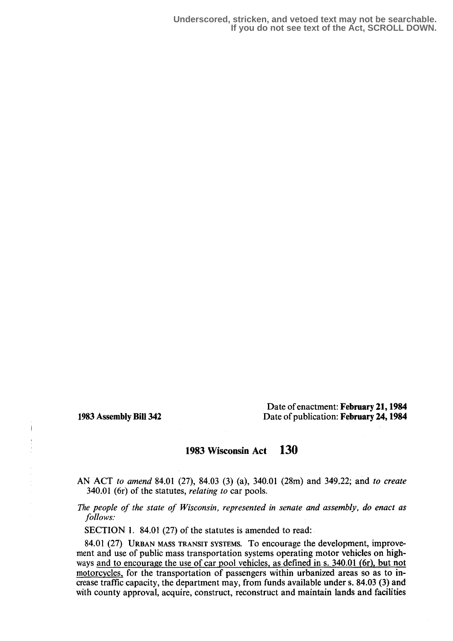**Underscored, stricken, and vetoed text may not be searchable. If you do not see text of the Act, SCROLL DOWN.**

 $\mathord{\textsf{I}}$ 

Date of enactment: February 21, 1984 1983 Assembly Bill 342 Date of publication: February 24,1984

## 1983 Wisconsin Act 130

AN ACT to amend 84.01 (27), 84.03 (3) (a), 340.01 (28m) and 349.22; and to create 340.01 (6r) of the statutes, relating to car pools.

The people of the state of Wisconsin, represented in senate and assembly, do enact as follows:

SECTION 1. 84.01 (27) of the statutes is amended to read:

84.01 (27) URBAN MASS TRANSIT SYSTEMS. To encourage the development, improvement and use of public mass transportation systems operating motor vehicles on highways and to encourage the use of car pool vehicles, as defined in s. 340.01 (6r), but not motorcycles, for the transportation of passengers within urbanized areas so as to increase traffic capacity, the department may, from funds available under s. 84.03 (3) and with county approval, acquire, construct, reconstruct and maintain lands and facilities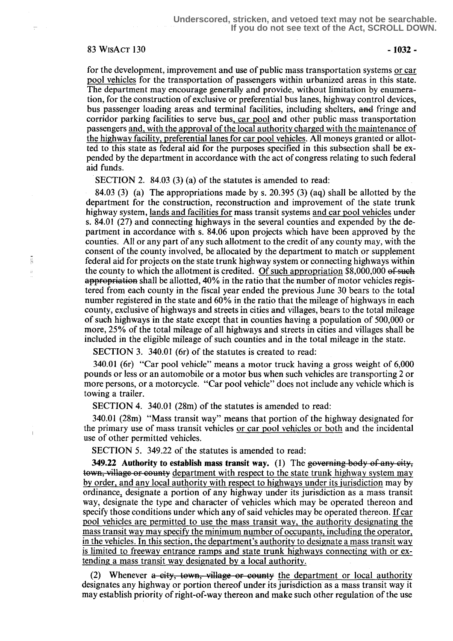## $83 WisAcr 130 -1032 -$

Ĥ  $\left\langle \cdot \right\rangle$ 

for the development, improvement and use of public mass transportation systems or car pool vehicles for the transportation of passengers within urbanized areas in this state. The department may encourage generally and provide, without limitation by enumeration, for the construction of exclusive or preferential bus lanes, highway control devices, bus passenger loading areas and terminal facilities, including shelters, and fringe and corridor parking facilities to serve bus, car pool and other public mass transportation passengers and, with the approval of the local authority charged with the maintenance of the highway facility, preferential lanes for car pool vehicles . All moneys granted or allotted to this state as federal aid for the purposes specified in this subsection shall be expended by the department in accordance with the act of congress relating to such federal aid funds.

SECTION 2. 84.03 (3) (a) of the statutes is amended to read:

84.03 (3) (a) The appropriations made by s. 20.395 (3) (aq) shall be allotted by the department for the construction, reconstruction and improvement of the state trunk highway system, lands and facilities for mass transit systems and car pool vehicles under <sup>s</sup> . 84.01 (27) and connecting highways in the several counties and expended by the department in accordance with s. 84.06 upon projects which have been approved by the counties . All or any part of any such allotment to the credit of any county may, with the consent of the county involved, be allocated by the department to match or supplement federal aid for projects on the state trunk highway system or connecting highways within the county to which the allotment is credited. Of such appropriation  $$8,000,000$  of such appropriation shall be allotted, 40% in the ratio that the number of motor vehicles registered from each county in the fiscal year ended the previous June 30 bears to the total number registered in the state and 60% in the ratio that the mileage of highways in each county, exclusive of highways and streets in cities and villages, bears to the total mileage of such highways in the state except that in counties having a population of 500,000 or more, 25% of the total mileage of all highways and streets in cities and villages shall be included in the eligible mileage of such counties and in the total mileage in the state.

SECTION 3. 340.01 (6r) of the statutes is created to read:

340.01 (6r) "Car pool vehicle" means a motor truck having a gross weight of 6,000 pounds or less or an automobile or a motor bus when such vehicles are transporting 2 or more persons, or a motorcycle. "Car pool vehicle" does not include any vehicle which is towing a trailer.

SECTION 4. 340.01 (28m) of the statutes is amended to read:

340.01 (28m) "Mass transit way" means that portion of the highway designated for the primary use of mass transit vehicles or car pool vehicles or both and the incidental use of other permitted vehicles.

SECTION 5. 349.22 of the statutes is amended to read:

349.22 Authority to establish mass transit way. (1) The governing body of any eity, town, village or county department with respect to the state trunk highway system may by order, and any local authority with respect to highways under its jurisdiction may by ordinance designate a portion of any highway under its jurisdiction as a mass transit way, designate the type and character of vehicles which may be operated thereon and specify those conditions under which any of said vehicles may be operated thereon. If car pool vehicles are permitted to use the mass transit way, the authority designating the mass transit way may specify the minimum number of occupants, including the operator, in the vehicles . In this section, the department's authority to designate a mass transit way is limited to freeway entrance ramps and state trunk highways connecting with or extending a mass transit way designated by a local authority.

(2) Whenever  $a$  eity, town, village or county the department or local authority designates any highway or portion thereof under its jurisdiction as a mass transit way it may establish priority of right-of-way thereon and make such other regulation of the use